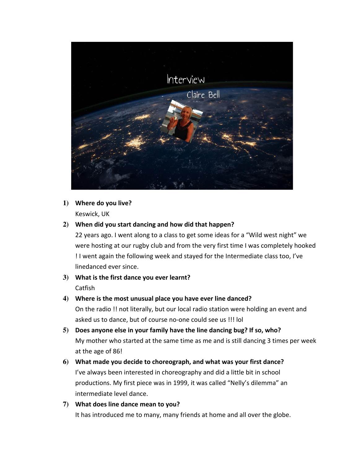

# 1) Where do you live?

Keswick, UK

#### **2) When did you start dancing and how did that happen?**

22 years ago. I went along to a class to get some ideas for a "Wild west night" we were hosting at our rugby club and from the very first time I was completely hooked ! I went again the following week and stayed for the Intermediate class too, I've linedanced ever since.

**3)** What is the first dance you ever learnt? Catfish

## 4) Where is the most unusual place you have ever line danced?

On the radio !! not literally, but our local radio station were holding an event and asked us to dance, but of course no-one could see us !!! lol

- 5) Does anyone else in your family have the line dancing bug? If so, who? My mother who started at the same time as me and is still dancing 3 times per week at the age of 86!
- **6)** What made you decide to choreograph, and what was your first dance? I've always been interested in choreography and did a little bit in school productions. My first piece was in 1999, it was called "Nelly's dilemma" an intermediate level dance.
- **7) What does line dance mean to you?** It has introduced me to many, many friends at home and all over the globe.